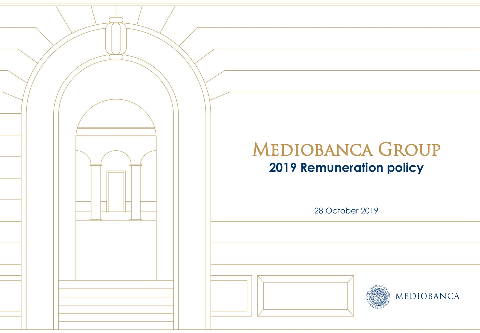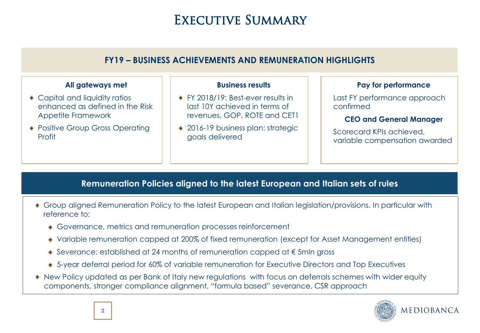## EXECUTIVE SUMMARY

### **FY19 – BUSINESS ACHIEVEMENTS AND REMUNERATION HIGHLIGHTS**

#### **All gateways met**

- ◆ Capital and liquidity ratios enhanced as defined in the Risk Appetite Framework
- Positive Group Gross Operating Profit

#### **Business results**

- ◆ FY 2018/19: Best-ever results in last 10Y achieved in terms of revenues, GOP, ROTE and CET1
- ◆ 2016-19 business plan: strategic goals delivered

#### **Pay for performance**

Last FY performance approach confirmed

#### **CEO and General Manager**

Scorecard KPIs achieved, variable compensation awarded

### **Remuneration Policies aligned to the latest European and Italian sets of rules**

- Group aligned Remuneration Policy to the latest European and Italian legislation/provisions. In particular with reference to:
	- Governance, metrics and remuneration processes reinforcement
	- Variable remuneration capped at 200% of fixed remuneration (except for Asset Management entities)
	- Severance: established at 24 months of remuneration capped at € 5mln gross
	- 5-year deferral period for 60% of variable remuneration for Executive Directors and Top Executives
- New Policy updated as per Bank of Italy new regulations with focus on deferrals schemes with wider equity components, stronger compliance alignment, "formula based" severance, CSR approach

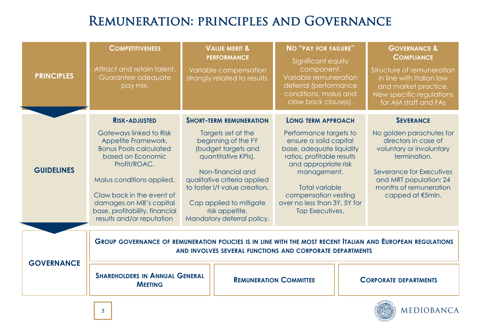# Remuneration: principles and Governance

| <b>PRINCIPLES</b> | <b>COMPETITIVENESS</b><br>Attract and retain talent.<br>Guarantee adequate<br>pay mix.                                                           |                                                                                                                                                               | <b>VALUE MERIT &amp;</b><br><b>PERFORMANCE</b><br>Variable compensation<br>strongly related to results.                                                                                                                                                                                      | <b>NO "PAY FOR FAILURE"</b><br>Significant equity<br>component.<br>Variable remuneration<br>deferral (performance<br>conditions, malus and<br>claw back clauses). |  | <b>GOVERNANCE &amp;</b><br><b>COMPLIANCE</b><br>Structure of remuneration<br>in line with Italian law<br>and market practice.<br>New specific regulations<br>for AM staff and FAs |  |
|-------------------|--------------------------------------------------------------------------------------------------------------------------------------------------|---------------------------------------------------------------------------------------------------------------------------------------------------------------|----------------------------------------------------------------------------------------------------------------------------------------------------------------------------------------------------------------------------------------------------------------------------------------------|-------------------------------------------------------------------------------------------------------------------------------------------------------------------|--|-----------------------------------------------------------------------------------------------------------------------------------------------------------------------------------|--|
|                   | <b>RISK-ADJUSTED</b><br>Gateways linked to Risk<br>Appetite Framework,<br><b>Bonus Pools calculated</b><br>based on Economic<br>Profit/ROAC.     |                                                                                                                                                               | <b>LONG TERM APPROACH</b><br><b>SHORT-TERM REMUNERATION</b><br>Targets set at the<br>Performance targets to<br>beginning of the FY<br>ensure a solid capital<br>(budget targets and<br>base, adequate liquidity<br>quantitative KPIs).<br>ratios, profitable results<br>and appropriate risk |                                                                                                                                                                   |  | <b>SEVERANCE</b><br>No golden parachutes for<br>directors in case of<br>voluntary or involuntary<br>termination.                                                                  |  |
| <b>GUIDELINES</b> | Malus conditions applied.<br>Claw back in the event of<br>damages on MB's capital<br>base, profitability, financial<br>results and/or reputation | Non-financial and<br>qualitative criteria applied<br>to foster I/t value creation.<br>Cap applied to mitigate<br>risk appetite.<br>Mandatory deferral policy. |                                                                                                                                                                                                                                                                                              | management.<br><b>Total variable</b><br>compensation vesting<br>over no less than 3Y, 5Y for<br>Top Executives.                                                   |  | <b>Severance for Executives</b><br>and MRT population: 24<br>months of remuneration<br>capped at €5mln.                                                                           |  |
| <b>GOVERNANCE</b> |                                                                                                                                                  |                                                                                                                                                               |                                                                                                                                                                                                                                                                                              | AND INVOLVES SEVERAL FUNCTIONS AND CORPORATE DEPARTMENTS                                                                                                          |  | GROUP GOVERNANCE OF REMUNERATION POLICIES IS IN LINE WITH THE MOST RECENT ITALIAN AND EUROPEAN REGULATIONS                                                                        |  |
|                   | <b>SHAREHOLDERS IN ANNUAL GENERAL</b><br><b>MEETING</b>                                                                                          |                                                                                                                                                               |                                                                                                                                                                                                                                                                                              | <b>REMUNERATION COMMITTEE</b>                                                                                                                                     |  | <b>CORPORATE DEPARTMENTS</b><br><b>SDIOBANO</b>                                                                                                                                   |  |

MEDIOBANCA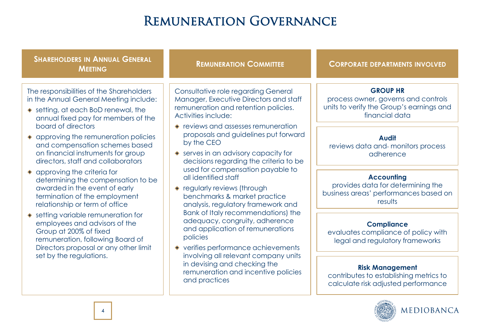# REMUNERATION GOVERNANCE

| <b>SHAREHOLDERS IN ANNUAL GENERAL</b><br><b>MEETING</b>                                                                                                                                                                                                                                                                                                                                                                                                                                                                 | <b>REMUNERATION COMMITTEE</b>                                                                                                                                                                                                                                                                                                                                                                                                                                 | <b>CORPORATE DEPARTMENTS INVOLVED</b>                                                                                |  |  |
|-------------------------------------------------------------------------------------------------------------------------------------------------------------------------------------------------------------------------------------------------------------------------------------------------------------------------------------------------------------------------------------------------------------------------------------------------------------------------------------------------------------------------|---------------------------------------------------------------------------------------------------------------------------------------------------------------------------------------------------------------------------------------------------------------------------------------------------------------------------------------------------------------------------------------------------------------------------------------------------------------|----------------------------------------------------------------------------------------------------------------------|--|--|
| The responsibilities of the Shareholders<br>in the Annual General Meeting include:<br>• setting, at each BoD renewal, the<br>annual fixed pay for members of the<br>board of directors<br>• approving the remuneration policies<br>and compensation schemes based<br>on financial instruments for group<br>directors, staff and collaborators<br>• approving the criteria for<br>determining the compensation to be<br>awarded in the event of early<br>termination of the employment<br>relationship or term of office | Consultative role regarding General<br>Manager, Executive Directors and staff<br>remuneration and retention policies.<br>Activities include:<br>• reviews and assesses remuneration                                                                                                                                                                                                                                                                           | <b>GROUP HR</b><br>process owner, governs and controls<br>units to verify the Group's earnings and<br>financial data |  |  |
|                                                                                                                                                                                                                                                                                                                                                                                                                                                                                                                         | proposals and guidelines put forward<br>by the CEO<br>• serves in an advisory capacity for<br>decisions regarding the criteria to be                                                                                                                                                                                                                                                                                                                          | <b>Audit</b><br>reviews data and-monitors process<br>adherence                                                       |  |  |
|                                                                                                                                                                                                                                                                                                                                                                                                                                                                                                                         | used for compensation payable to<br>all identified staff<br>◆ regularly reviews (through<br>benchmarks & market practice<br>analysis, regulatory framework and<br>Bank of Italy recommendations) the<br>adequacy, congruity, adherence<br>and application of remunerations<br>policies<br>• verifies performance achievements<br>involving all relevant company units<br>in devising and checking the<br>remuneration and incentive policies<br>and practices | <b>Accounting</b><br>provides data for determining the<br>business areas' performances based on<br>results           |  |  |
| • setting variable remuneration for<br>employees and advisors of the<br>Group at 200% of fixed<br>remuneration, following Board of<br>Directors proposal or any other limit                                                                                                                                                                                                                                                                                                                                             |                                                                                                                                                                                                                                                                                                                                                                                                                                                               | <b>Compliance</b><br>evaluates compliance of policy with<br>legal and regulatory frameworks                          |  |  |
| set by the regulations.                                                                                                                                                                                                                                                                                                                                                                                                                                                                                                 |                                                                                                                                                                                                                                                                                                                                                                                                                                                               | <b>Risk Management</b><br>contributes to establishing metrics to<br>calculate risk adjusted performance              |  |  |

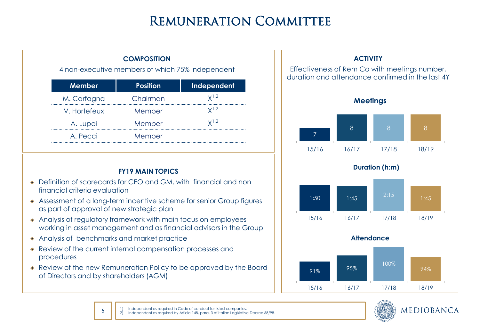# Remuneration Committee

| <b>Effective</b><br>duration | <b>COMPOSITION</b><br>4 non-executive members of which 75% independent |                 |               |  |  |  |  |
|------------------------------|------------------------------------------------------------------------|-----------------|---------------|--|--|--|--|
|                              | Independent                                                            | <b>Position</b> | <b>Member</b> |  |  |  |  |
|                              | $\mathsf{Y}^{1,2}$                                                     | Chairman        | M. Carfagna   |  |  |  |  |
|                              | Y <sup>1</sup> Z                                                       | Member          | V. Hortefeux  |  |  |  |  |
|                              | <br>$\mathsf{V}^{1,2}$                                                 | Member          | A. Lupoi      |  |  |  |  |
|                              |                                                                        | Member          | A. Pecci      |  |  |  |  |
|                              |                                                                        |                 |               |  |  |  |  |

#### **FY19 MAIN TOPICS**

- Definition of scorecards for CEO and GM, with financial and non financial criteria evaluation
- Assessment of a long-term incentive scheme for senior Group figures as part of approval of new strategic plan
- Analysis of regulatory framework with main focus on employees working in asset management and as financial advisors in the Group
- Analysis of benchmarks and market practice

5

- Review of the current internal compensation processes and procedures
- Review of the new Remuneration Policy to be approved by the Board of Directors and by shareholders (AGM)





1) Independent as required in Code of conduct for listed companies. 2) Independent as required by Article 148, para. 3 of Italian Legislative Decree 58/98.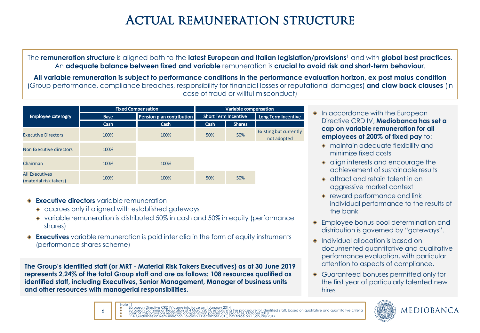# ACTUAL REMUNERATION STRUCTURE

The **remuneration structure** is aligned both to the **latest European and Italian legislation/provisions<sup>1</sup>** and with **global best practices**. An **adequate balance between fixed and variable** remuneration is **crucial to avoid risk and short-term behaviour**.

**All variable remuneration is subject to performance conditions in the performance evaluation horizon, ex post malus condition**  (Group performance, compliance breaches, responsibility for financial losses or reputational damages) **and claw back clauses** (in case of fraud or willful misconduct)

|                                                 |             | <b>Fixed Compensation</b> | Variable compensation |                             |                                       |  |
|-------------------------------------------------|-------------|---------------------------|-----------------------|-----------------------------|---------------------------------------|--|
| <b>Employee caterogry</b>                       | <b>Base</b> | Pension plan contribution |                       | <b>Short Term Incentive</b> | Long Term Incentive                   |  |
|                                                 | Cash        | Cash                      | Cash                  | <b>Shares</b>               |                                       |  |
| <b>Executive Directors</b>                      | 100%        | 100%                      | 50%                   | 50%                         | Existing but currently<br>not adopted |  |
| Non Executive directors                         | 100%        |                           |                       |                             |                                       |  |
| Chairman                                        | 100%        | 100%                      |                       |                             |                                       |  |
| <b>All Executives</b><br>(material risk takers) | 100%        | 100%                      | 50%                   | 50%                         |                                       |  |

**Executive directors** variable remuneration

6

- accrues only if aligned with established gateways
- variable remuneration is distributed 50% in cash and 50% in equity (performance shares)
- **Executives** variable remuneration is paid inter alia in the form of equity instruments (performance shares scheme)

**The Group's identified staff (or MRT - Material Risk Takers Executives) as at 30 June 2019 represents 2,24% of the total Group staff and are as follows: 108 resources qualified as identified staff, including Executives, Senior Management, Manager of business units and other resources with managerial responsibilities.**

#### **In accordance with the European** Directive CRD IV, **Mediobanca has set a cap on variable remuneration for all employees at 200% of fixed pay** to:

- maintain adequate flexibility and minimize fixed costs
- $\bullet$  align interests and encourage the achievement of sustainable results
- attract and retain talent in an aggressive market context
- reward performance and link individual performance to the results of the bank
- Employee bonus pool determination and distribution is governed by "gateways".
- Individual allocation is based on documented quantitative and qualitative performance evaluation, with particular attention to aspects of compliance.
- Guaranteed bonuses permitted only for the first year of particularly talented new hires



Note  $1)$ European Directive CRD IV came into force on 1 January 2014 dentified staff, based on qualitative and auantitative criteria Bank of Italy provisions regarding compensation policies and practices, October 2018 EBA Guidelines on Remuneration Policies 21 December 2015, into force on 1 January 2017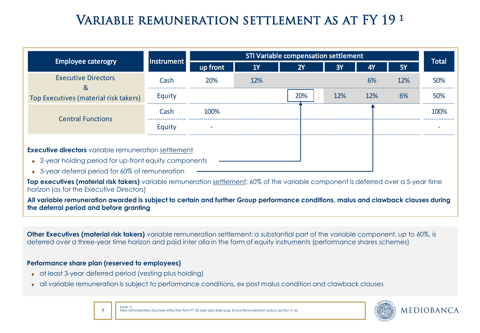# VARIABLE REMUNERATION SETTLEMENT AS AT FY 19.1

|                                                                                                                                                                           | <b>Instrument</b> | STI Variable compensation settlement |           |     |     |     |           |              |
|---------------------------------------------------------------------------------------------------------------------------------------------------------------------------|-------------------|--------------------------------------|-----------|-----|-----|-----|-----------|--------------|
| <b>Employee caterogry</b>                                                                                                                                                 |                   | up front                             | <b>1Y</b> | 2Y  | 3Y  | 4Y  | <b>5Y</b> | <b>Total</b> |
| <b>Executive Directors</b><br>&                                                                                                                                           | Cash              | 20%                                  | 12%       |     |     | 6%  | 12%       | 50%          |
| Top Executives (material risk takers)                                                                                                                                     | Equity            |                                      |           | 20% | 12% | 12% | 6%        | 50%          |
| <b>Central Functions</b>                                                                                                                                                  | Cash              | 100%                                 |           |     |     |     |           | 100%         |
|                                                                                                                                                                           | Equity            |                                      |           |     |     |     |           |              |
| <b>Executive directors</b> variable remuneration settlement<br>• 2-year holding period for up-front equity components<br>• 5-year deferral period for 60% of remuneration |                   |                                      |           |     |     |     |           |              |

**Top executives (material risk takers)** variable remuneration settlement: 60% of the variable component is deferred over a 5-year time horizon (as for the Executive Directors)

**All variable remuneration awarded is subject to certain and further Group performance conditions, malus and clawback clauses during the deferral period and before granting**

**Other Executives (material risk takers)** variable remuneration settlement: a substantial part of the variable component, up to 60%, is deferred over a three-year time horizon and paid inter alia in the form of equity instruments (performance shares schemes)

#### **Performance share plan (reserved to employees)**

- at least 3-year deferred period (vesting plus holding)
- all variable remuneration is subject to performance conditions, ex post malus condition and clawback clauses

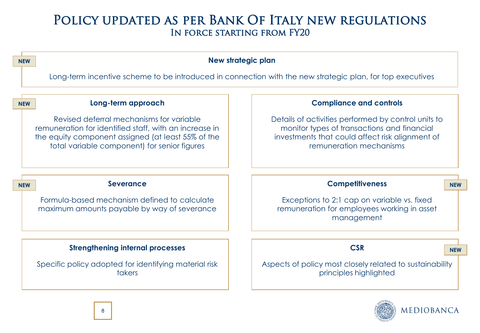### Policy updated as per Bank Of Italy new regulations In force starting from FY20



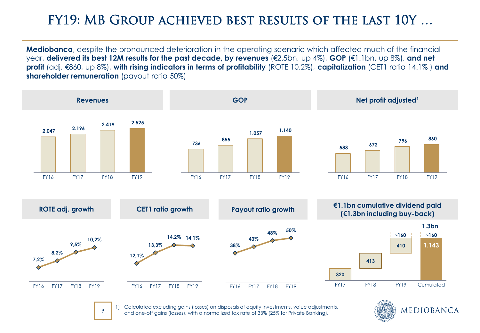# FY19: MB Group achieved best results of the last 10Y …

**Mediobanca**, despite the pronounced deterioration in the operating scenario which affected much of the financial year, **delivered its best 12M results for the past decade, by revenues** (€2.5bn, up 4%), **GOP** (€1.1bn, up 8%), **and net profit** (adj. €860, up 8%), **with rising indicators in terms of profitability** (ROTE 10.2%), **capitalization** (CET1 ratio 14.1% ) **and shareholder remuneration** (payout ratio 50%)



1) Calculated excluding gains (losses) on disposals of equity investments, value adjustments, and one-off gains (losses), with a normalized tax rate of 33% (25% for Private Banking).

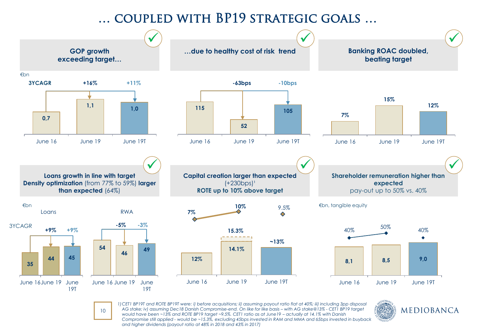### … coupled with BP19 strategic goals …



10

*1)CET1 BP19T and ROTE BP19T were: i) before acquisitions; ii) assuming payout ratio flat at 40%; iii) including 3pp disposal AG stake; iv) assuming Dec18 Danish Compromise-end. On like for like basis - with AG stake@13% - CET1 BP19 target would have been ~13% and ROTE BP19 target ~9.5%. CET1 ratio as at June19 - actually at 14.1% with Danish Compromise still applied - would be ~15.3%, excluding 45bps invested in RAM and MMA and 65bps invested in buyback and higher dividends (payout ratio at 48% in 2018 and 43% in 2017)*

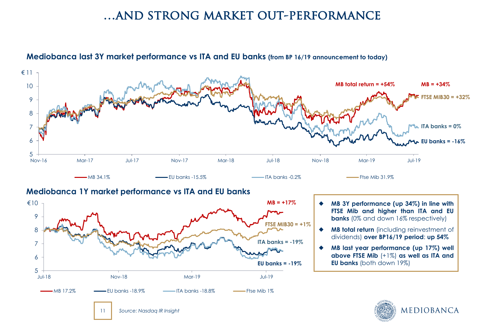### …and strong market out-performance



#### **Mediobanca last 3Y market performance vs ITA and EU banks (from BP 16/19 announcement to today)**

#### **Mediobanca 1Y market performance vs ITA and EU banks**



- **MB 3Y performance (up 34%) in line with FTSE Mib and higher than ITA and EU banks** (0% and down 16% respectively)
- **MB total return** (including reinvestment of dividends) **over BP16/19 period**: **up 54%**
- **MB last year performance (up 17%) well above FTSE Mib** (+1%) **as well as ITA and EU banks** (both down 19%)

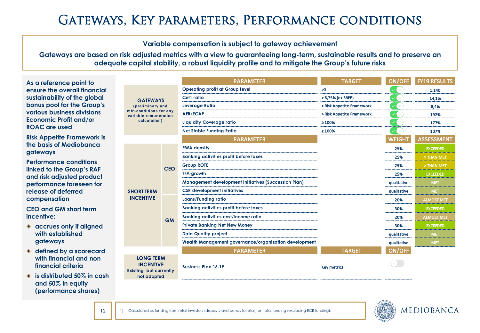# Gateways, Key parameters, Performance conditions

#### **Variable compensation is subject to gateway achievement**

**Gateways are based on risk adjusted metrics with a view to guaranteeing long-term, sustainable results and to preserve an adequate capital stability, a robust liquidity profile and to mitigate the Group's future risks**

| As a reference point to                                |                                                                                        |            | <b>PARAMETER</b>                                            | <b>TARGET</b>             | ON/OFF        | <b>FY19 RESULTS</b> |
|--------------------------------------------------------|----------------------------------------------------------------------------------------|------------|-------------------------------------------------------------|---------------------------|---------------|---------------------|
| ensure the overall financial                           |                                                                                        |            | <b>Operating profit at Group level</b>                      | $\geq 0$                  |               | 1.140               |
| sustainability of the global                           | <b>GATEWAYS</b><br>(preliminary and<br>min.conditions for any<br>variable remuneration |            | Cet1 ratio                                                  | > 8,75% (ex SREP)         |               | 14,1%               |
| bonus pool for the Group's                             |                                                                                        |            | Leverage Ratio<br>> Risk Appetite Framework                 |                           |               | 8,4%                |
| various business divisions                             |                                                                                        |            | <b>AFR/ECAP</b>                                             | > Risk Appetite Framework |               | 192%                |
| <b>Economic Profit and/or</b>                          | calculation)                                                                           |            | <b>Liquidity Coverage ratio</b>                             | $\geq 100\%$              |               | 177%                |
| <b>ROAC</b> are used                                   |                                                                                        |            | <b>Net Stable Funding Ratio</b>                             | $\geq 100\%$              |               | 107%                |
| <b>Risk Appetite Framework is</b>                      |                                                                                        |            | <b>PARAMETER</b>                                            |                           | <b>WEIGHT</b> | <b>ASSESSMENT</b>   |
| the basis of Mediobanca                                |                                                                                        |            | <b>RWA density</b>                                          |                           | 25%           | <b>EXCEEDED</b>     |
| gateways                                               |                                                                                        |            | <b>Banking activities profit before taxes</b>               |                           | 25%           | > THAN MET          |
| <b>Performance conditions</b>                          |                                                                                        |            | <b>Group ROTE</b>                                           |                           | 25%           | > THAN MET          |
| linked to the Group's RAF<br>and risk adjusted product |                                                                                        | <b>CEO</b> | <b>TFA growth</b>                                           |                           | 25%           | <b>EXCEEDED</b>     |
| performance foreseen for                               |                                                                                        |            | <b>Management development initiatives (Succession Plan)</b> |                           | qualitative   | <b>MET</b>          |
| release of deferred                                    | <b>SHORT TERM</b><br><b>INCENTIVE</b>                                                  |            | <b>CSR</b> development initiatives                          |                           | qualitative   | <b>MET</b>          |
| compensation                                           |                                                                                        | <b>GM</b>  | <b>Loans/Funding ratio</b>                                  |                           | 20%           | <b>ALMOST MET</b>   |
| <b>CEO and GM short term</b>                           |                                                                                        |            | <b>Banking activities profit before taxes</b>               |                           | 30%           | <b>EXCEEDED</b>     |
| incentive:                                             |                                                                                        |            | <b>Banking activities cost/income ratio</b>                 |                           | 20%           | ALMOST MET          |
| ♦ accrues only if aligned                              |                                                                                        |            | <b>Private Banking Net New Money</b>                        |                           | 30%           | <b>EXCEEDED</b>     |
| with established                                       |                                                                                        |            | <b>Data Quality project</b>                                 |                           | qualitative   | <b>MET</b>          |
| gateways                                               |                                                                                        |            | Wealth Management governance/organization development       |                           | qualitative   | <b>MET</b>          |
| defined by a scorecard<br>$\bullet$                    |                                                                                        |            | <b>PARAMETER</b>                                            | <b>TARGET</b>             | ON/OFF        |                     |
| with financial and non<br>financial criteria           | <b>LONG TERM</b><br><b>INCENTIVE</b><br>Existing but currently                         |            | <b>Business Plan 16-19</b>                                  | <b>Key metrics</b>        | $=$ )         |                     |
| is distributed 50% in cash<br>and 50% in equity        | not adopted                                                                            |            |                                                             |                           |               |                     |



**(performance shares)**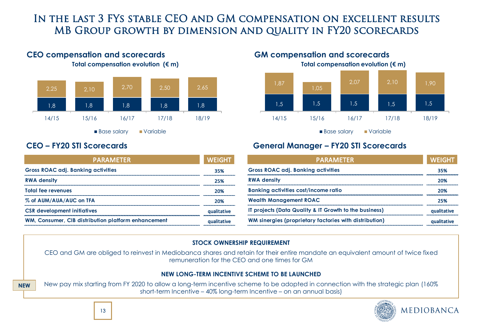### In the last 3 FYs stable CEO and GM compensation on excellent results MB Group growth by dimension and quality in FY20 scorecards



### **CEO compensation and scorecards GM compensation and scorecards**

**Total compensation evolution (€ m) Total compensation evolution (€ m)**

**NEW**

| <b>PARAMETER</b>                                    | <b>WEIGHT</b> |
|-----------------------------------------------------|---------------|
| <b>Gross ROAC adj. Banking activities</b>           | 35%           |
| <b>RWA density</b>                                  | 25%           |
| <b>Total fee revenues</b>                           | 20%           |
| % of AUM/AUA/AUC on TFA                             | 20%           |
| <b>CSR</b> development initiatives                  | qualitative   |
| WM, Consumer, CIB distribution platform enhancement | qualitative   |



Base salary variable

### **CEO – FY20 STI Scorecards General Manager – FY20 STI Scorecards**

| <b>PARAMETER</b>                                       | <b>WEIGHT</b> |
|--------------------------------------------------------|---------------|
| <b>Gross ROAC adj. Banking activities</b>              | 35%           |
| <b>RWA density</b>                                     | 20%           |
| <b>Banking activities cost/income ratio</b>            | 20%           |
| <b>Wealth Management ROAC</b>                          | 25%           |
| IT projects (Data Quality & IT Growth to the business) | qualitative   |
| WM sinergies (proprietary factories with distribution) | qualitative   |

#### **STOCK OWNERSHIP REQUIREMENT**

CEO and GM are obliged to reinvest in Mediobanca shares and retain for their entire mandate an equivalent amount of twice fixed remuneration for the CEO and one times for GM

#### **NEW LONG-TERM INCENTIVE SCHEME TO BE LAUNCHED**

New pay mix starting from FY 2020 to allow a long-term incentive scheme to be adopted in connection with the strategic plan (160% short-term Incentive – 40% long-term Incentive – on an annual basis)

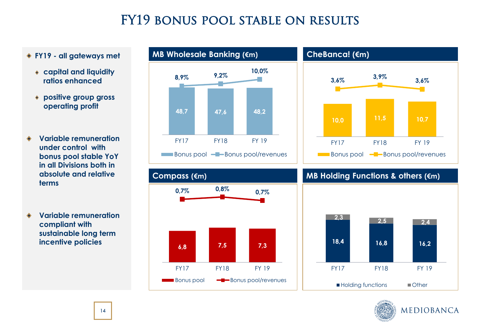# FY19 bonus pool stable on results

#### **FY19 - all gateways met**

- **capital and liquidity ratios enhanced**
- **positive group gross operating profit**
- **Variable remuneration under control with bonus pool stable YoY in all Divisions both in absolute and relative terms**